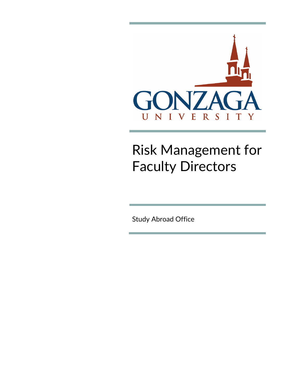

# Risk Management for Faculty Directors

Study Abroad Office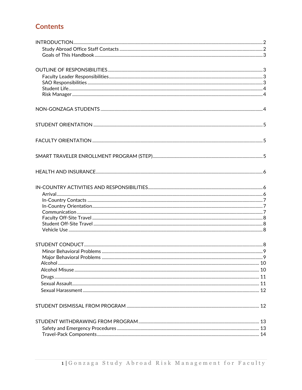# **Contents**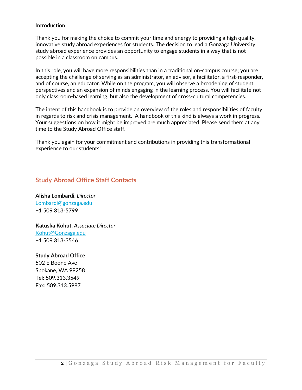#### <span id="page-2-0"></span>**Introduction**

Thank you for making the choice to commit your time and energy to providing a high quality, innovative study abroad experiences for students. The decision to lead a Gonzaga University study abroad experience provides an opportunity to engage students in a way that is not possible in a classroom on campus.

In this role, you will have more responsibilities than in a traditional on-campus course; you are accepting the challenge of serving as an administrator, an advisor, a facilitator, a first-responder, and of course, an educator. While on the program, you will observe a broadening of student perspectives and an expansion of minds engaging in the learning process. You will facilitate not only classroom-based learning, but also the development of cross-cultural competencies.

The intent of this handbook is to provide an overview of the roles and responsibilities of faculty in regards to risk and crisis management. A handbook of this kind is always a work in progress. Your suggestions on how it might be improved are much appreciated. Please send them at any time to the Study Abroad Office staff.

Thank you again for your commitment and contributions in providing this transformational experience to our students!

#### <span id="page-2-1"></span>**Study Abroad Office Staff Contacts**

**Alisha Lombardi,** *Director* [Lombardi@gonzaga.edu](mailto:Lombardi@gonzaga.edu) +1 509 313-5799

**Katuska Kohut,** *Associate Director* [Kohut@Gonzaga.edu](mailto:Kohut@gonzaga.edu) +1 509 313-3546

#### **Study Abroad Office**

502 E Boone Ave Spokane, WA 99258 Tel: 509.313.3549 Fax: 509.313.5987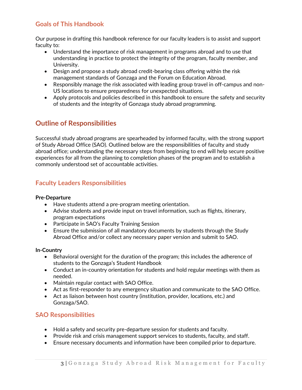# <span id="page-3-0"></span>**Goals of This Handbook**

Our purpose in drafting this handbook reference for our faculty leaders is to assist and support faculty to:

- Understand the importance of risk management in programs abroad and to use that understanding in practice to protect the integrity of the program, faculty member, and University.
- Design and propose a study abroad credit-bearing class offering within the risk management standards of Gonzaga and the Forum on Education Abroad.
- Responsibly manage the risk associated with leading group travel in off-campus and non-US locations to ensure preparedness for unexpected situations.
- Apply protocols and policies described in this handbook to ensure the safety and security of students and the integrity of Gonzaga study abroad programming.

# <span id="page-3-1"></span>**Outline of Responsibilities**

Successful study abroad programs are spearheaded by informed faculty, with the strong support of Study Abroad Office (SAO). Outlined below are the responsibilities of faculty and study abroad office; understanding the necessary steps from beginning to end will help secure positive experiences for all from the planning to completion phases of the program and to establish a commonly understood set of accountable activities.

# <span id="page-3-2"></span>**Faculty Leaders Responsibilities**

#### **Pre-Departure**

- Have students attend a pre-program meeting orientation.
- Advise students and provide input on travel information, such as flights, itinerary, program expectations
- Participate in SAO's Faculty Training Session
- Ensure the submission of all mandatory documents by students through the Study Abroad Office and/or collect any necessary paper version and submit to SAO.

#### **In-Country**

- Behavioral oversight for the duration of the program; this includes the adherence of students to the Gonzaga's Student Handbook
- Conduct an in-country orientation for students and hold regular meetings with them as needed.
- Maintain regular contact with SAO Office.
- Act as first-responder to any emergency situation and communicate to the SAO Office.
- Act as liaison between host country (institution, provider, locations, etc.) and Gonzaga/SAO.

## <span id="page-3-3"></span>**SAO Responsibilities**

- Hold a safety and security pre-departure session for students and faculty.
- Provide risk and crisis management support services to students, faculty, and staff.
- Ensure necessary documents and information have been compiled prior to departure.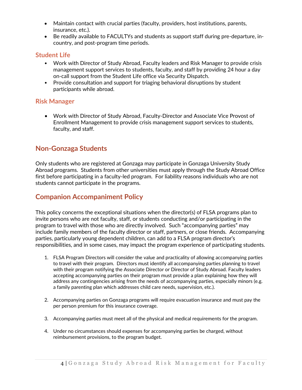- Maintain contact with crucial parties (faculty, providers, host institutions, parents, insurance, etc.).
- Be readily available to FACULTYs and students as support staff during pre-departure, incountry, and post-program time periods.

## <span id="page-4-0"></span>**Student Life**

- Work with Director of Study Abroad, Faculty leaders and Risk Manager to provide crisis management support services to students, faculty, and staff by providing 24 hour a day on-call support from the Student Life office via Security Dispatch.
- Provide consultation and support for triaging behavioral disruptions by student participants while abroad.

## <span id="page-4-1"></span>**Risk Manager**

• Work with Director of Study Abroad, Faculty-Director and Associate Vice Provost of Enrollment Management to provide crisis management support services to students, faculty, and staff.

## <span id="page-4-2"></span>**Non-Gonzaga Students**

Only students who are registered at Gonzaga may participate in Gonzaga University Study Abroad programs. Students from other universities must apply through the Study Abroad Office first before participating in a faculty-led program. For liability reasons individuals who are not students cannot participate in the programs.

# **Companion Accompaniment Policy**

This policy concerns the exceptional situations when the director(s) of FLSA programs plan to invite persons who are not faculty, staff, or students conducting and/or participating in the program to travel with those who are directly involved. Such "accompanying parties" may include family members of the faculty director or staff, partners, or close friends. Accompanying parties, particularly young dependent children, can add to a FLSA program director's responsibilities, and in some cases, may impact the program experience of participating students.

- 1. FLSA Program Directors will consider the value and practicality of allowing accompanying parties to travel with their program. Directors must identify all accompanying parties planning to travel with their program notifying the Associate Director or Director of Study Abroad. Faculty leaders accepting accompanying parties on their program must provide a plan explaining how they will address any contingencies arising from the needs of accompanying parties, especially minors (e.g. a family parenting plan which addresses child care needs, supervision, etc.).
- 2. Accompanying parties on Gonzaga programs will require evacuation insurance and must pay the per person premium for this insurance coverage.
- 3. Accompanying parties must meet all of the physical and medical requirements for the program.
- 4. Under no circumstances should expenses for accompanying parties be charged, without reimbursement provisions, to the program budget.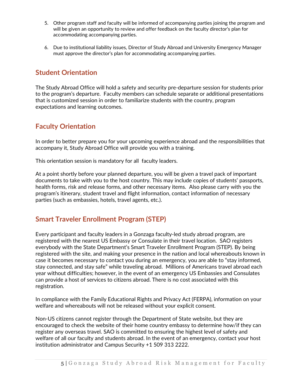- 5. Other program staff and faculty will be informed of accompanying parties joining the program and will be given an opportunity to review and offer feedback on the faculty director's plan for accommodating accompanying parties.
- 6. Due to institutional liability issues, Director of Study Abroad and University Emergency Manager must approve the director's plan for accommodating accompanying parties.

# <span id="page-5-0"></span>**Student Orientation**

The Study Abroad Office will hold a safety and security pre-departure session for students prior to the program's departure. Faculty members can schedule separate or additional presentations that is customized session in order to familiarize students with the country, program expectations and learning outcomes.

# <span id="page-5-1"></span>**Faculty Orientation**

In order to better prepare you for your upcoming experience abroad and the responsibilities that accompany it, Study Abroad Office will provide you with a training.

This orientation session is mandatory for all faculty leaders.

At a point shortly before your planned departure, you will be given a travel pack of important documents to take with you to the host country. This may include copies of students' passports, health forms, risk and release forms, and other necessary items. Also please carry with you the program's itinerary, student travel and flight information, contact information of necessary parties (such as embassies, hotels, travel agents, etc.).

# <span id="page-5-2"></span>**Smart Traveler Enrollment Program (STEP)**

Every participant and faculty leaders in a Gonzaga faculty-led study abroad program, are registered with the nearest US Embassy or Consulate in their travel location. SAO registers everybody with the State Department's Smart Traveler Enrollment Program (STEP). By being registered with the site, and making your presence in the nation and local whereabouts known in case it becomes necessary to contact you during an emergency, you are able to "stay informed, stay connected, and stay safe" while traveling abroad. Millions of Americans travel abroad each year without difficulties; however, in the event of an emergency US Embassies and Consulates can provide a host of services to citizens abroad. There is no cost associated with this registration.

In compliance with the Family Educational Rights and Privacy Act (FERPA), information on your welfare and whereabouts will not be released without your explicit consent.

Non-US citizens cannot register through the Department of State website, but they are encouraged to check the website of their home country embassy to determine how/if they can register any overseas travel. SAO is committed to ensuring the highest level of safety and welfare of all our faculty and students abroad. In the event of an emergency, contact your host institution administrator and Campus Security +1 509 313 2222.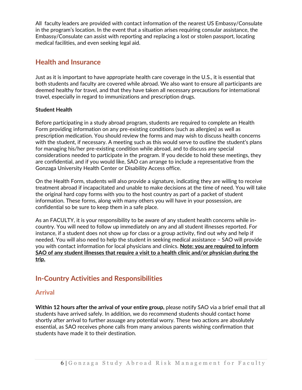All faculty leaders are provided with contact information of the nearest US Embassy/Consulate in the program's location. In the event that a situation arises requiring consular assistance, the Embassy/Consulate can assist with reporting and replacing a lost or stolen passport, locating medical facilities, and even seeking legal aid.

# <span id="page-6-0"></span>**Health and Insurance**

Just as it is important to have appropriate health care coverage in the U.S., it is essential that both students and faculty are covered while abroad. We also want to ensure all participants are deemed healthy for travel, and that they have taken all necessary precautions for international travel, especially in regard to immunizations and prescription drugs.

#### **Student Health**

Before participating in a study abroad program, students are required to complete an Health Form providing information on any pre-existing conditions (such as allergies) as well as prescription medication. You should review the forms and may wish to discuss health concerns with the student, if necessary. A meeting such as this would serve to outline the student's plans for managing his/her pre-existing condition while abroad, and to discuss any special considerations needed to participate in the program. If you decide to hold these meetings, they are confidential, and if you would like, SAO can arrange to include a representative from the Gonzaga University Health Center or Disability Access office.

On the Health Form, students will also provide a signature, indicating they are willing to receive treatment abroad if incapacitated and unable to make decisions at the time of need. You will take the original hard copy forms with you to the host country as part of a packet of student information. These forms, along with many others you will have in your possession, are confidential so be sure to keep them in a safe place.

As an FACULTY, it is your responsibility to be aware of any student health concerns while incountry. You will need to follow up immediately on any and all student illnesses reported. For instance, if a student does not show up for class or a group activity, find out why and help if needed. You will also need to help the student in seeking medical assistance – SAO will provide you with contact information for local physicians and clinics. **Note: you are required to inform SAO of any student illnesses that require a visit to a health clinic and/or physician during the trip.**

# <span id="page-6-1"></span>**In-Country Activities and Responsibilities**

## <span id="page-6-2"></span>**Arrival**

**Within 12 hours after the arrival of your entire group,** please notify SAO via a brief email that all students have arrived safely. In addition, we do recommend students should contact home shortly after arrival to further assuage any potential worry. These two actions are absolutely essential, as SAO receives phone calls from many anxious parents wishing confirmation that students have made it to their destination.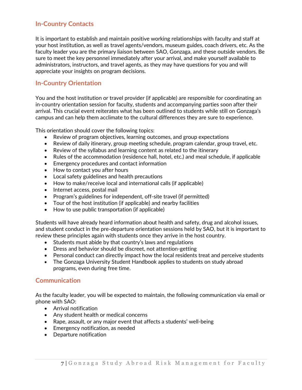# <span id="page-7-0"></span>**In-Country Contacts**

It is important to establish and maintain positive working relationships with faculty and staff at your host institution, as well as travel agents/vendors, museum guides, coach drivers, etc. As the faculty leader you are the primary liaison between SAO, Gonzaga, and these outside vendors. Be sure to meet the key personnel immediately after your arrival, and make yourself available to administrators, instructors, and travel agents, as they may have questions for you and will appreciate your insights on program decisions.

## <span id="page-7-1"></span>**In-Country Orientation**

You and the host institution or travel provider (if applicable) are responsible for coordinating an in-country orientation session for faculty, students and accompanying parties soon after their arrival. This crucial event reiterates what has been outlined to students while still on Gonzaga's campus and can help them acclimate to the cultural differences they are sure to experience.

This orientation should cover the following topics:

- Review of program objectives, learning outcomes, and group expectations
- Review of daily itinerary, group meeting schedule, program calendar, group travel, etc.
- Review of the syllabus and learning content as related to the itinerary
- Rules of the accommodation (residence hall, hotel, etc.) and meal schedule, if applicable
- Emergency procedures and contact information
- How to contact you after hours
- Local safety guidelines and health precautions
- How to make/receive local and international calls (if applicable)
- Internet access, postal mail
- Program's guidelines for independent, off-site travel (if permitted)
- Tour of the host institution (if applicable) and nearby facilities
- How to use public transportation (if applicable)

Students will have already heard information about health and safety, drug and alcohol issues, and student conduct in the pre-departure orientation sessions held by SAO, but it is important to review these principles again with students once they arrive in the host country.

- Students must abide by that country's laws and regulations
- Dress and behavior should be discreet, not attention-getting
- Personal conduct can directly impact how the local residents treat and perceive students
- The Gonzaga University Student Handbook applies to students on study abroad programs, even during free time.

## <span id="page-7-2"></span>**Communication**

As the faculty leader, you will be expected to maintain, the following communication via email or phone with SAO:

- Arrival notification
- Any student health or medical concerns
- Rape, assault, or any major event that affects a students' well-being
- Emergency notification, as needed
- Departure notification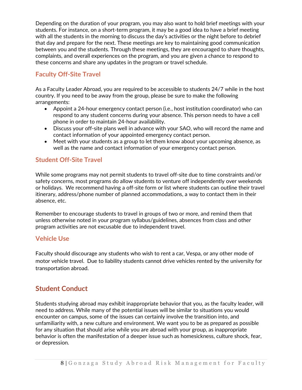Depending on the duration of your program, you may also want to hold brief meetings with your students. For instance, on a short-term program, it may be a good idea to have a brief meeting with all the students in the morning to discuss the day's activities or the night before to debrief that day and prepare for the next. These meetings are key to maintaining good communication between you and the students. Through these meetings, they are encouraged to share thoughts, complaints, and overall experiences on the program, and you are given a chance to respond to these concerns and share any updates in the program or travel schedule.

# <span id="page-8-0"></span>**Faculty Off-Site Travel**

As a Faculty Leader Abroad, you are required to be accessible to students 24/7 while in the host country. If you need to be away from the group, please be sure to make the following arrangements:

- Appoint a 24-hour emergency contact person (i.e., host institution coordinator) who can respond to any student concerns during your absence. This person needs to have a cell phone in order to maintain 24-hour availability.
- Discuss your off-site plans well in advance with your SAO, who will record the name and contact information of your appointed emergency contact person.
- Meet with your students as a group to let them know about your upcoming absence, as well as the name and contact information of your emergency contact person.

## <span id="page-8-1"></span>**Student Off-Site Travel**

While some programs may not permit students to travel off-site due to time constraints and/or safety concerns, most programs do allow students to venture off independently over weekends or holidays. We recommend having a off-site form or list where students can outline their travel itinerary, address/phone number of planned accommodations, a way to contact them in their absence, etc.

Remember to encourage students to travel in groups of two or more, and remind them that unless otherwise noted in your program syllabus/guidelines, absences from class and other program activities are not excusable due to independent travel.

## <span id="page-8-2"></span>**Vehicle Use**

Faculty should discourage any students who wish to rent a car, Vespa, or any other mode of motor vehicle travel. Due to liability students cannot drive vehicles rented by the university for transportation abroad.

# <span id="page-8-3"></span>**Student Conduct**

Students studying abroad may exhibit inappropriate behavior that you, as the faculty leader, will need to address. While many of the potential issues will be similar to situations you would encounter on campus, some of the issues can certainly involve the transition into, and unfamiliarity with, a new culture and environment. We want you to be as prepared as possible for any situation that should arise while you are abroad with your group, as inappropriate behavior is often the manifestation of a deeper issue such as homesickness, culture shock, fear, or depression.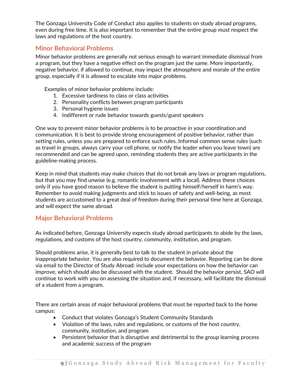The Gonzaga University Code of Conduct also applies to students on study abroad programs, even during free time. It is also important to remember that the entire group must respect the laws and regulations of the host country.

## <span id="page-9-0"></span>**Minor Behavioral Problems**

Minor behavior problems are generally not serious enough to warrant immediate dismissal from a program, but they have a negative effect on the program just the same. More importantly, negative behavior, if allowed to continue, may impact the atmosphere and morale of the entire group, especially if it is allowed to escalate into major problems.

Examples of minor behavior problems include:

- 1. Excessive tardiness to class or class activities
- 2. Personality conflicts between program participants
- 3. Personal hygiene issues
- 4. Indifferent or rude behavior towards guests/guest speakers

One way to prevent minor behavior problems is to be proactive in your coordination and communication. It is best to provide strong encouragement of positive behavior, rather than setting rules, unless you are prepared to enforce such rules. Informal common sense rules (such as travel in groups, always carry your cell phone, or notify the leader when you leave town) are recommended and can be agreed upon, reminding students they are active participants in the guideline-making process.

Keep in mind that students may make choices that do not break any laws or program regulations, but that you may find unwise (e.g. romantic involvement with a local). Address these choices only if you have good reason to believe the student is putting himself/herself in harm's way. Remember to avoid making judgments and stick to issues of safety and well-being, as most students are accustomed to a great deal of freedom during their personal time here at Gonzaga, and will expect the same abroad.

## <span id="page-9-1"></span>**Major Behavioral Problems**

As indicated before, Gonzaga University expects study abroad participants to abide by the laws, regulations, and customs of the host country, community, institution, and program.

Should problems arise, it is generally best to talk to the student in private about the inappropriate behavior. You are also required to document the behavior. Reporting can be done via email to the Director of Study Abroad: include your expectations on how the behavior can improve, which should also be discussed with the student. Should the behavior persist, SAO will continue to work with you on assessing the situation and, if necessary, will facilitate the dismissal of a student from a program.

There are certain areas of major behavioral problems that must be reported back to the home campus:

- Conduct that violates Gonzaga's Student Community Standards
- Violation of the laws, rules and regulations, or customs of the host country, community, institution, and program
- Persistent behavior that is disruptive and detrimental to the group learning process and academic success of the program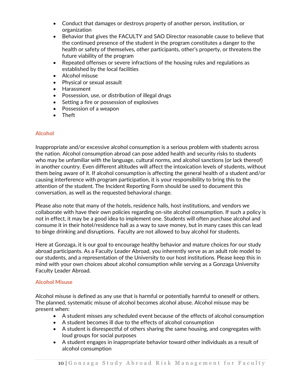- Conduct that damages or destroys property of another person, institution, or organization
- Behavior that gives the FACULTY and SAO Director reasonable cause to believe that the continued presence of the student in the program constitutes a danger to the health or safety of themselves, other participants, other's property, or threatens the future viability of the program
- Repeated offenses or severe infractions of the housing rules and regulations as established by the local facilities
- Alcohol misuse
- Physical or sexual assault
- Harassment
- Possession, use, or distribution of illegal drugs
- Setting a fire or possession of explosives
- Possession of a weapon
- Theft

#### <span id="page-10-0"></span>**Alcohol**

Inappropriate and/or excessive alcohol consumption is a serious problem with students across the nation. Alcohol consumption abroad can pose added health and security risks to students who may be unfamiliar with the language, cultural norms, and alcohol sanctions (or lack thereof) in another country. Even different altitudes will affect the intoxication levels of students, without them being aware of it. If alcohol consumption is affecting the general health of a student and/or causing interference with program participation, it is your responsibility to bring this to the attention of the student. The Incident Reporting Form should be used to document this conversation, as well as the requested behavioral change.

Please also note that many of the hotels, residence halls, host institutions, and vendors we collaborate with have their own policies regarding on-site alcohol consumption. If such a policy is not in effect, it may be a good idea to implement one. Students will often purchase alcohol and consume it in their hotel/residence hall as a way to save money, but in many cases this can lead to binge drinking and disruptions. Faculty are not allowed to buy alcohol for students.

Here at Gonzaga, it is our goal to encourage healthy behavior and mature choices for our study abroad participants. As a Faculty Leader Abroad, you inherently serve as an adult role model to our students, and a representation of the University to our host institutions. Please keep this in mind with your own choices about alcohol consumption while serving as a Gonzaga University Faculty Leader Abroad.

#### <span id="page-10-1"></span>**Alcohol Misuse**

Alcohol misuse is defined as any use that is harmful or potentially harmful to oneself or others. The planned, systematic misuse of alcohol becomes alcohol abuse. Alcohol misuse may be present when:

- A student misses any scheduled event because of the effects of alcohol consumption
- A student becomes ill due to the effects of alcohol consumption
- A student is disrespectful of others sharing the same housing, and congregates with loud groups for social purposes
- A student engages in inappropriate behavior toward other individuals as a result of alcohol consumption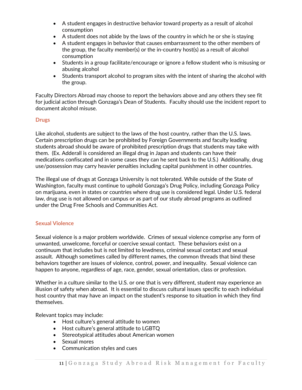- A student engages in destructive behavior toward property as a result of alcohol consumption
- A student does not abide by the laws of the country in which he or she is staying
- A student engages in behavior that causes embarrassment to the other members of the group, the faculty member(s) or the in-country host(s) as a result of alcohol consumption
- Students in a group facilitate/encourage or ignore a fellow student who is misusing or abusing alcohol
- Students transport alcohol to program sites with the intent of sharing the alcohol with the group.

Faculty Directors Abroad may choose to report the behaviors above and any others they see fit for judicial action through Gonzaga's Dean of Students. Faculty should use the incident report to document alcohol misuse.

#### <span id="page-11-0"></span>**Drugs**

Like alcohol, students are subject to the laws of the host country, rather than the U.S. laws. Certain prescription drugs can be prohibited by Foreign Governments and faculty leading students abroad should be aware of prohibited prescription drugs that students may take with them. (Ex. Adderall is considered an illegal drug in Japan and students can have their medications confiscated and in some cases they can he sent back to the U.S.) Additionally, drug use/possession may carry heavier penalties including capital punishment in other countries.

The illegal use of drugs at Gonzaga University is not tolerated. While outside of the State of Washington, faculty must continue to uphold Gonzaga's Drug Policy, including Gonzaga Policy on marijuana, even in states or countries where drug use is considered legal. Under U.S. federal law, drug use is not allowed on campus or as part of our study abroad programs as outlined under the Drug Free Schools and Communities Act.

#### <span id="page-11-1"></span>**Sexual Violence**

Sexual violence is a major problem worldwide. Crimes of sexual violence comprise any form of unwanted, unwelcome, forceful or coercive sexual contact. These behaviors exist on a continuum that includes but is not limited to lewdness, criminal sexual contact and sexual assault. Although sometimes called by different names, the common threads that bind these behaviors together are issues of violence, control, power, and inequality. Sexual violence can happen to anyone, regardless of age, race, gender, sexual orientation, class or profession.

Whether in a culture similar to the U.S. or one that is very different, student may experience an illusion of safety when abroad. It is essential to discuss cultural issues specific to each individual host country that may have an impact on the student's response to situation in which they find themselves.

Relevant topics may include:

- Host culture's general attitude to women
- Host culture's general attitude to LGBTQ
- Stereotypical attitudes about American women
- Sexual mores
- Communication styles and cues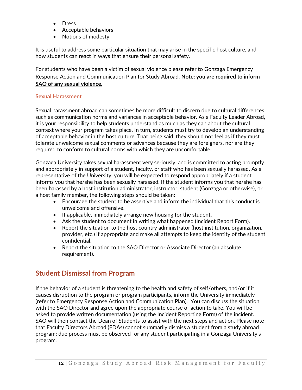- Dress
- Acceptable behaviors
- Notions of modesty

It is useful to address some particular situation that may arise in the specific host culture, and how students can react in ways that ensure their personal safety.

For students who have been a victim of sexual violence please refer to Gonzaga Emergency Response Action and Communication Plan for Study Abroad. **Note: you are required to inform SAO of any sexual violence.**

#### <span id="page-12-0"></span>**Sexual Harassment**

Sexual harassment abroad can sometimes be more difficult to discern due to cultural differences such as communication norms and variances in acceptable behavior. As a Faculty Leader Abroad, it is your responsibility to help students understand as much as they can about the cultural context where your program takes place. In turn, students must try to develop an understanding of acceptable behavior in the host culture. That being said, they should not feel as if they must tolerate unwelcome sexual comments or advances because they are foreigners, nor are they required to conform to cultural norms with which they are uncomfortable.

Gonzaga University takes sexual harassment very seriously, and is committed to acting promptly and appropriately in support of a student, faculty, or staff who has been sexually harassed. As a representative of the University, you will be expected to respond appropriately if a student informs you that he/she has been sexually harassed. If the student informs you that he/she has been harassed by a host institution administrator, instructor, student (Gonzaga or otherwise), or a host family member, the following steps should be taken:

- Encourage the student to be assertive and inform the individual that this conduct is unwelcome and offensive.
- If applicable, immediately arrange new housing for the student.
- Ask the student to document in writing what happened (Incident Report Form).
- Report the situation to the host country administrator (host institution, organization, provider, etc.) if appropriate and make all attempts to keep the identity of the student confidential.
- Report the situation to the SAO Director or Associate Director (an absolute requirement).

# <span id="page-12-1"></span>**Student Dismissal from Program**

If the behavior of a student is threatening to the health and safety of self/others, and/or if it causes disruption to the program or program participants, inform the University immediately (refer to Emergency Response Action and Communication Plan). You can discuss the situation with the SAO Director and agree upon the appropriate course of action to take. You will be asked to provide written documentation (using the Incident Reporting Form) of the incident. SAO will then contact the Dean of Students to assist with the next steps and action. Please note that Faculty Directors Abroad (FDAs) cannot summarily dismiss a student from a study abroad program; due process must be observed for any student participating in a Gonzaga University's program.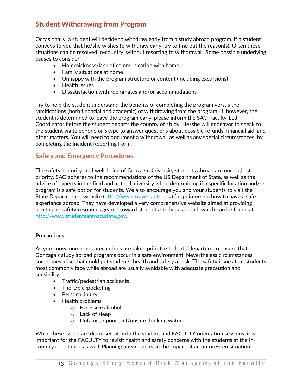# <span id="page-13-0"></span>**Student Withdrawing from Program**

Occasionally, a student will decide to withdraw early from a study abroad program. If a student conveys to you that he/she wishes to withdraw early, try to find out the reason(s). Often these situations can be resolved in-country, without resorting to withdrawal. Some possible underlying causes to consider:

- Homesickness/lack of communication with home
- Family situations at home
- Unhappy with the program structure or content (including excursions)
- Health issues
- Dissatisfaction with roommates and/or accommodations

Try to help the student understand the benefits of completing the program versus the ramifications (both financial and academic) of withdrawing from the program. If, however, the student is determined to leave the program early, please inform the SAO Faculty-Led Coordinator before the student departs the country of study. He/she will endeavor to speak to the student via telephone or Skype to answer questions about possible refunds, financial aid, and other matters. You will need to document a withdrawal, as well as any special circumstances, by completing the Incident Reporting Form.

#### <span id="page-13-1"></span>**Safety and Emergency Procedures**

The safety, security, and well-being of Gonzaga University students abroad are our highest priority. SAO adheres to the recommendations of the US Department of State, as well as the advice of experts in the field and at the University when determining if a specific location and/or program is a safe option for students. We also encourage you and your students to visit the State Department's website ([http://www.travel.state.gov\)](http://www.travel.state.gov/) for pointers on how to have a safe experience abroad. They have developed a very comprehensive website aimed at providing health and safety resources geared toward students studying abroad, which can be found at [http://www.studentsabroad.state.gov.](http://www.studentsabroad.state.gov/)

#### **Precautions**

As you know, numerous precautions are taken prior to students' departure to ensure that Gonzaga's study abroad programs occur in a safe environment. Nevertheless circumstances sometimes arise that could put students' health and safety at risk. The safety issues that students most commonly face while abroad are usually avoidable with adequate precaution and sensibility:

- Traffic/pedestrian accidents
- Theft/pickpocketing
- Personal injury
- Health problems
	- o Excessive alcohol
	- o Lack of sleep
	- o Unfamiliar poor diet/unsafe drinking water

While these issues are discussed at both the student and FACULTY orientation sessions, it is important for the FACULTY to revisit health and safety concerns with the students at the incountry orientation as well. Planning ahead can ease the impact of an unforeseen situation.